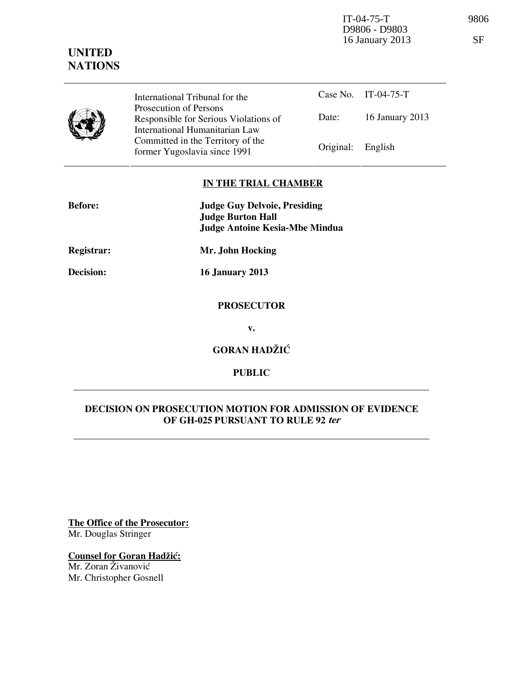IT-04-75-T 9806 D9806 - D9803 16 January 2013 SF

# **UNITED NATIONS**

|   | International Tribunal for the                                                                    |                   | Case No. IT-04-75-T |
|---|---------------------------------------------------------------------------------------------------|-------------------|---------------------|
| y | Prosecution of Persons<br>Responsible for Serious Violations of<br>International Humanitarian Law | Date:             | 16 January 2013     |
|   | Committed in the Territory of the<br>former Yugoslavia since 1991                                 | Original: English |                     |

### **IN THE TRIAL CHAMBER**

| <b>Before:</b> | <b>Judge Guy Delvoie, Presiding</b><br><b>Judge Burton Hall</b><br><b>Judge Antoine Kesia-Mbe Mindua</b> |  |
|----------------|----------------------------------------------------------------------------------------------------------|--|
| Registrar:     | Mr. John Hocking                                                                                         |  |
| Decision:      | <b>16 January 2013</b>                                                                                   |  |
|                | <b>PROSECUTOR</b>                                                                                        |  |
|                | v.                                                                                                       |  |
|                | <b>GORAN HADŽIĆ</b>                                                                                      |  |

**PUBLIC** 

## **DECISION ON PROSECUTION MOTION FOR ADMISSION OF EVIDENCE OF GH-025 PURSUANT TO RULE 92 ter**

**The Office of the Prosecutor:** Mr. Douglas Stringer

**Counsel for Goran Hadžić:** 

Mr. Zoran Živanović Mr. Christopher Gosnell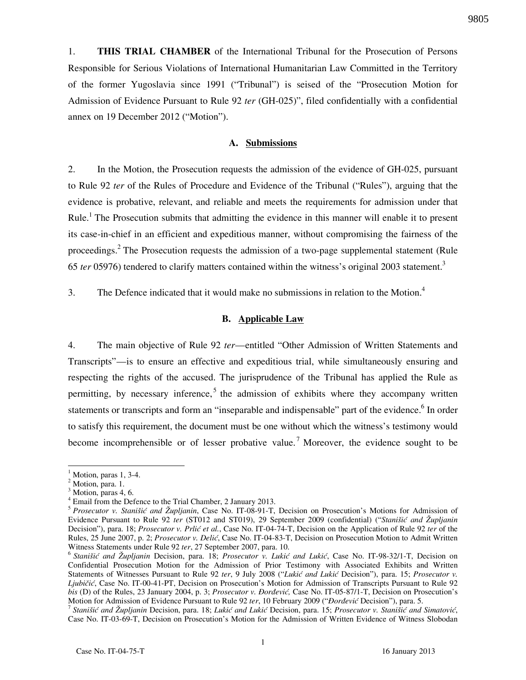1. **THIS TRIAL CHAMBER** of the International Tribunal for the Prosecution of Persons Responsible for Serious Violations of International Humanitarian Law Committed in the Territory of the former Yugoslavia since 1991 ("Tribunal") is seised of the "Prosecution Motion for Admission of Evidence Pursuant to Rule 92 *ter* (GH-025)", filed confidentially with a confidential annex on 19 December 2012 ("Motion").

#### **A. Submissions**

2. In the Motion, the Prosecution requests the admission of the evidence of GH-025, pursuant to Rule 92 *ter* of the Rules of Procedure and Evidence of the Tribunal ("Rules"), arguing that the evidence is probative, relevant, and reliable and meets the requirements for admission under that Rule.<sup>1</sup> The Prosecution submits that admitting the evidence in this manner will enable it to present its case-in-chief in an efficient and expeditious manner, without compromising the fairness of the proceedings.<sup>2</sup> The Prosecution requests the admission of a two-page supplemental statement (Rule 65 *ter* 05976) tendered to clarify matters contained within the witness's original 2003 statement.<sup>3</sup>

3. The Defence indicated that it would make no submissions in relation to the Motion.<sup>4</sup>

#### **B. Applicable Law**

4. The main objective of Rule 92 *ter*—entitled "Other Admission of Written Statements and Transcripts"—is to ensure an effective and expeditious trial, while simultaneously ensuring and respecting the rights of the accused. The jurisprudence of the Tribunal has applied the Rule as permitting, by necessary inference,<sup>5</sup> the admission of exhibits where they accompany written statements or transcripts and form an "inseparable and indispensable" part of the evidence.<sup>6</sup> In order to satisfy this requirement, the document must be one without which the witness's testimony would become incomprehensible or of lesser probative value.<sup>7</sup> Moreover, the evidence sought to be

 $\overline{a}$ 

 $<sup>1</sup>$  Motion, paras 1, 3-4.</sup>

<sup>&</sup>lt;sup>2</sup> Motion, para. 1.

<sup>&</sup>lt;sup>3</sup> Motion, paras 4, 6.

<sup>&</sup>lt;sup>4</sup> Email from the Defence to the Trial Chamber, 2 January 2013.

<sup>5</sup> *Prosecutor v. Stanišić and Župljanin*, Case No. IT-08-91-T, Decision on Prosecution's Motions for Admission of Evidence Pursuant to Rule 92 *ter* (ST012 and ST019), 29 September 2009 (confidential) ("*Stanišić and Župljanin* Decision"), para. 18; *Prosecutor v. Prlić et al.*, Case No. IT-04-74-T, Decision on the Application of Rule 92 *ter* of the Rules, 25 June 2007, p. 2; *Prosecutor v. Delić*, Case No. IT-04-83-T, Decision on Prosecution Motion to Admit Written Witness Statements under Rule 92 *ter*, 27 September 2007, para. 10.

<sup>&</sup>lt;sup>6</sup> Stanišić and Župljanin Decision, para. 18; *Prosecutor v. Lukić and Lukić*, Case No. IT-98-32/1-T, Decision on Confidential Prosecution Motion for the Admission of Prior Testimony with Associated Exhibits and Written Statements of Witnesses Pursuant to Rule 92 ter, 9 July 2008 ("Lukić and Lukić Decision"), para. 15; *Prosecutor v. Ljubičić*, Case No. IT-00-41-PT, Decision on Prosecution's Motion for Admission of Transcripts Pursuant to Rule 92 *bis* (D) of the Rules, 23 January 2004, p. 3; *Prosecutor v. Đorđević*, Case No. IT-05-87/1-T, Decision on Prosecution's Motion for Admission of Evidence Pursuant to Rule 92 *ter*, 10 February 2009 ("*Dordević* Decision"), para. 5.

<sup>&</sup>lt;sup>7</sup> Stanišić and Župljanin Decision, para. 18; Lukić and Lukić Decision, para. 15; Prosecutor v. Stanišić and Simatović, Case No. IT-03-69-T, Decision on Prosecution's Motion for the Admission of Written Evidence of Witness Slobodan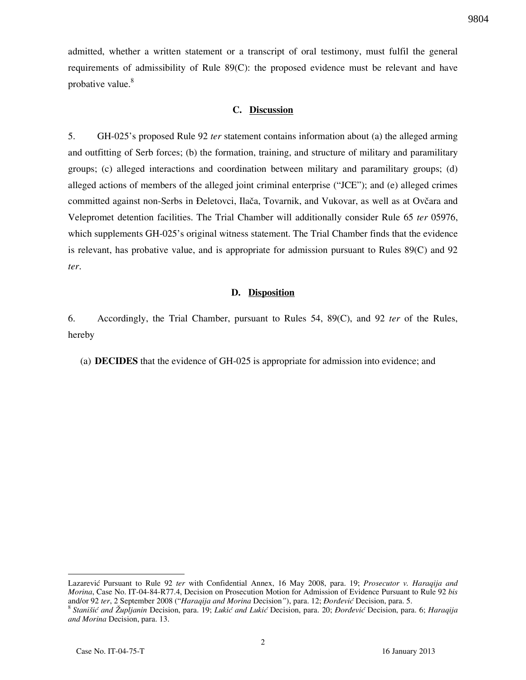admitted, whether a written statement or a transcript of oral testimony, must fulfil the general requirements of admissibility of Rule 89(C): the proposed evidence must be relevant and have probative value.<sup>8</sup>

### **C. Discussion**

5. GH-025's proposed Rule 92 *ter* statement contains information about (a) the alleged arming and outfitting of Serb forces; (b) the formation, training, and structure of military and paramilitary groups; (c) alleged interactions and coordination between military and paramilitary groups; (d) alleged actions of members of the alleged joint criminal enterprise ("JCE"); and (e) alleged crimes committed against non-Serbs in Ðeletovci, Ilača, Tovarnik, and Vukovar, as well as at Ovčara and Velepromet detention facilities. The Trial Chamber will additionally consider Rule 65 *ter* 05976, which supplements GH-025's original witness statement. The Trial Chamber finds that the evidence is relevant, has probative value, and is appropriate for admission pursuant to Rules 89(C) and 92 *ter*.

#### **D. Disposition**

6. Accordingly, the Trial Chamber, pursuant to Rules 54, 89(C), and 92 *ter* of the Rules, hereby

(a) **DECIDES** that the evidence of GH-025 is appropriate for admission into evidence; and

Lazarevi} Pursuant to Rule 92 *ter* with Confidential Annex, 16 May 2008, para. 19; *Prosecutor v. Haraqija and Morina*, Case No. IT-04-84-R77.4, Decision on Prosecution Motion for Admission of Evidence Pursuant to Rule 92 *bis* and/or 92 ter, 2 September 2008 ("*Haraqija and Morina Decision"*), para. 12; *Đorđević Decision*, para. 5.

<sup>&</sup>lt;sup>8</sup> Stanišić and Župljanin Decision, para. 19; Lukić and Lukić Decision, para. 20; *Đorđević* Decision, para. 6; Haraqija *and Morina* Decision, para. 13.